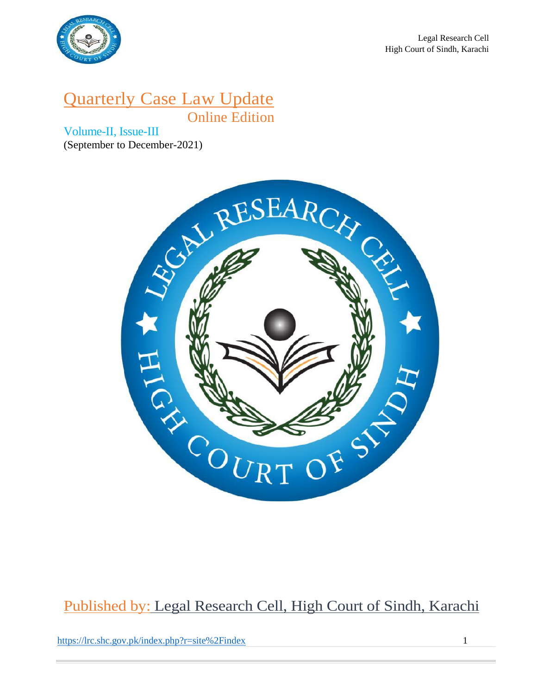

# Quarterly Case Law Update Online Edition

Volume-II, Issue-III (September to December-2021)



# Published by: Legal Research Cell, High Court of Sindh, Karachi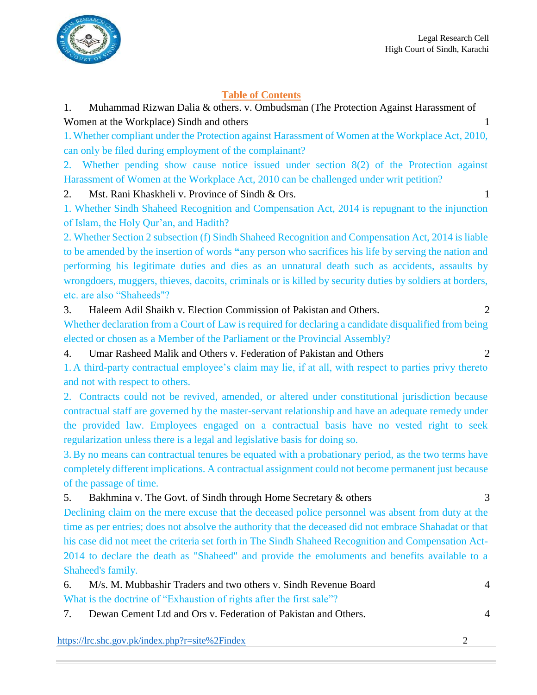

### **Table of Contents**

1. Muhammad Rizwan Dalia & others. v. Ombudsman (The Protection Against Harassment of Women at the Workplace) Sindh and others 1

1.Whether compliant under the Protection against Harassment of Women at the Workplace Act, 2010, can only be filed during employment of the complainant?

2. Whether pending show cause notice issued under section 8(2) of the Protection against Harassment of Women at the Workplace Act, 2010 can be challenged under writ petition?

2. Mst. Rani Khaskheli v. Province of Sindh & Ors. 1

1. Whether Sindh Shaheed Recognition and Compensation Act, 2014 is repugnant to the injunction of Islam, the Holy Qur'an, and Hadith?

2. Whether Section 2 subsection (f) Sindh Shaheed Recognition and Compensation Act, 2014 is liable to be amended by the insertion of words **"**any person who sacrifices his life by serving the nation and performing his legitimate duties and dies as an unnatural death such as accidents, assaults by wrongdoers, muggers, thieves, dacoits, criminals or is killed by security duties by soldiers at borders, etc. are also "Shaheeds"?

3. Haleem Adil Shaikh v. Election Commission of Pakistan and Others. 2

Whether declaration from a Court of Law is required for declaring a candidate disqualified from being elected or chosen as a Member of the Parliament or the Provincial Assembly?

4. Umar Rasheed Malik and Others v. Federation of Pakistan and Others 2

1. A third-party contractual employee's claim may lie, if at all, with respect to parties privy thereto and not with respect to others.

2. Contracts could not be revived, amended, or altered under constitutional jurisdiction because contractual staff are governed by the master-servant relationship and have an adequate remedy under the provided law. Employees engaged on a contractual basis have no vested right to seek regularization unless there is a legal and legislative basis for doing so.

3.By no means can contractual tenures be equated with a probationary period, as the two terms have completely different implications. A contractual assignment could not become permanent just because of the passage of time.

### 5. Bakhmina v. The Govt. of Sindh through Home Secretary & others 3

Declining claim on the mere excuse that the deceased police personnel was absent from duty at the time as per entries; does not absolve the authority that the deceased did not embrace Shahadat or that his case did not meet the criteria set forth in The Sindh Shaheed Recognition and Compensation Act-2014 to declare the death as "Shaheed" and provide the emoluments and benefits available to a Shaheed's family.

6. M/s. M. Mubbashir Traders and two others v. Sindh Revenue Board 4 What is the doctrine of "Exhaustion of rights after the first sale"?

7. Dewan Cement Ltd and Ors v. Federation of Pakistan and Others. 4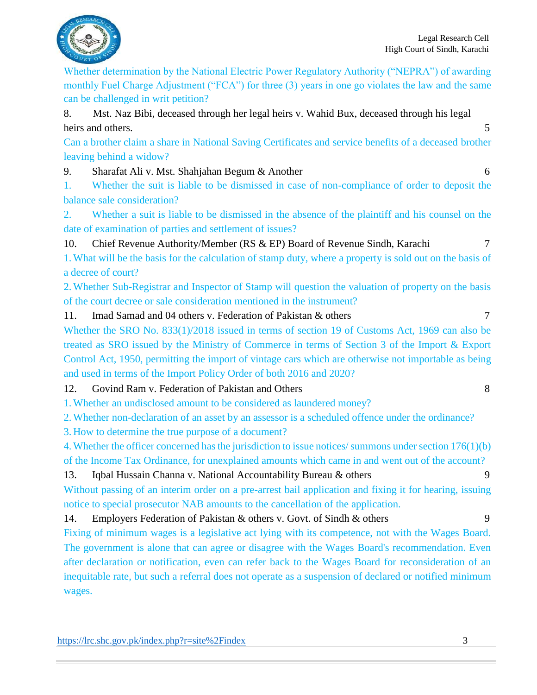

Whether determination by the National Electric Power Regulatory Authority ("NEPRA") of awarding monthly Fuel Charge Adjustment ("FCA") for three (3) years in one go violates the law and the same can be challenged in writ petition?

8. Mst. Naz Bibi, deceased through her legal heirs v. Wahid Bux, deceased through his legal heirs and others. 5

Can a brother claim a share in National Saving Certificates and service benefits of a deceased brother leaving behind a widow?

9. Sharafat Ali v. Mst. Shahjahan Begum & Another 6

1. Whether the suit is liable to be dismissed in case of non-compliance of order to deposit the balance sale consideration?

2. Whether a suit is liable to be dismissed in the absence of the plaintiff and his counsel on the date of examination of parties and settlement of issues?

10. Chief Revenue Authority/Member (RS & EP) Board of Revenue Sindh, Karachi 7

1.What will be the basis for the calculation of stamp duty, where a property is sold out on the basis of a decree of court?

2.Whether Sub-Registrar and Inspector of Stamp will question the valuation of property on the basis of the court decree or sale consideration mentioned in the instrument?

11. Imad Samad and 04 others v. Federation of Pakistan & others 7

Whether the SRO No. 833(1)/2018 issued in terms of section 19 of Customs Act, 1969 can also be treated as SRO issued by the Ministry of Commerce in terms of Section 3 of the Import & Export Control Act, 1950, permitting the import of vintage cars which are otherwise not importable as being and used in terms of the Import Policy Order of both 2016 and 2020?

12. Govind Ram v. Federation of Pakistan and Others 8

1.Whether an undisclosed amount to be considered as laundered money?

2.Whether non-declaration of an asset by an assessor is a scheduled offence under the ordinance?

3. How to determine the true purpose of a document?

4.Whether the officer concerned has the jurisdiction to issue notices/ summons under section 176(1)(b) of the Income Tax Ordinance, for unexplained amounts which came in and went out of the account?

13. Iqbal Hussain Channa v. National Accountability Bureau & others 9

Without passing of an interim order on a pre-arrest bail application and fixing it for hearing, issuing notice to special prosecutor NAB amounts to the cancellation of the application.

14. Employers Federation of Pakistan & others v. Govt. of Sindh & others 9

Fixing of minimum wages is a legislative act lying with its competence, not with the Wages Board. The government is alone that can agree or disagree with the Wages Board's recommendation. Even after declaration or notification, even can refer back to the Wages Board for reconsideration of an inequitable rate, but such a referral does not operate as a suspension of declared or notified minimum wages.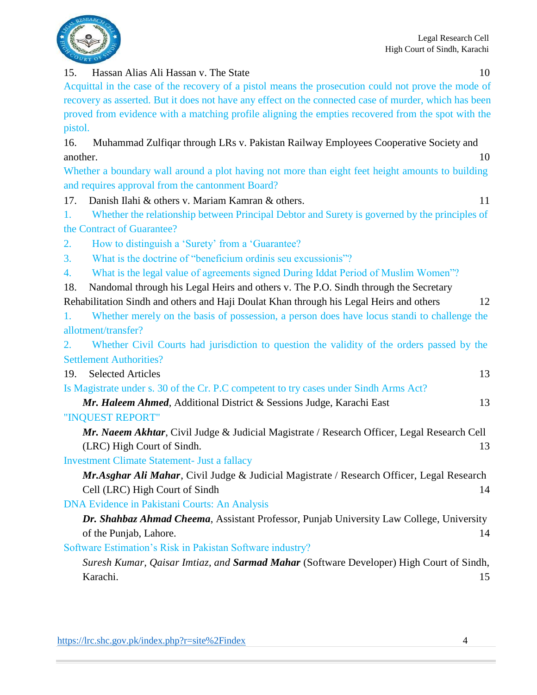

### 15. Hassan Alias Ali Hassan v. The State 10

Acquittal in the case of the recovery of a pistol means the prosecution could not prove the mode of recovery as asserted. But it does not have any effect on the connected case of murder, which has been proved from evidence with a matching profile aligning the empties recovered from the spot with the pistol.

16. Muhammad Zulfiqar through LRs v. Pakistan Railway Employees Cooperative Society and another. 10

Whether a boundary wall around a plot having not more than eight feet height amounts to building and requires approval from the cantonment Board?

- 17. Danish Ilahi & others v. Mariam Kamran & others. 11
- 1. Whether the relationship between Principal Debtor and Surety is governed by the principles of the Contract of Guarantee?
- 2. How to distinguish a 'Surety' from a 'Guarantee?
- 3. What is the doctrine of "beneficium ordinis seu excussionis"?
- 4. What is the legal value of agreements signed During Iddat Period of Muslim Women"?
- 18. Nandomal through his Legal Heirs and others v. The P.O. Sindh through the Secretary

Rehabilitation Sindh and others and Haji Doulat Khan through his Legal Heirs and others 12 1. Whether merely on the basis of possession, a person does have locus standi to challenge the

allotment/transfer?

2. Whether Civil Courts had jurisdiction to question the validity of the orders passed by the Settlement Authorities?

19. Selected Articles 13 Is Magistrate under s. 30 of the Cr. P.C competent to try cases under Sindh Arms Act?

*Mr. Haleem Ahmed*, Additional District & Sessions Judge, Karachi East 13

"INQUEST REPORT"

*Mr. Naeem Akhtar*, Civil Judge & Judicial Magistrate / Research Officer, Legal Research Cell (LRC) High Court of Sindh. 13

Investment Climate Statement- Just a fallacy

*Mr.Asghar Ali Mahar*, Civil Judge & Judicial Magistrate / Research Officer, Legal Research Cell (LRC) High Court of Sindh 14

DNA Evidence in Pakistani Courts: An Analysis

*Dr. Shahbaz Ahmad Cheema*, Assistant Professor, Punjab University Law College, University of the Punjab, Lahore. 14

Software Estimation's Risk in Pakistan Software industry?

*Suresh Kumar, Qaisar Imtiaz, and Sarmad Mahar* (Software Developer) High Court of Sindh, Karachi. 15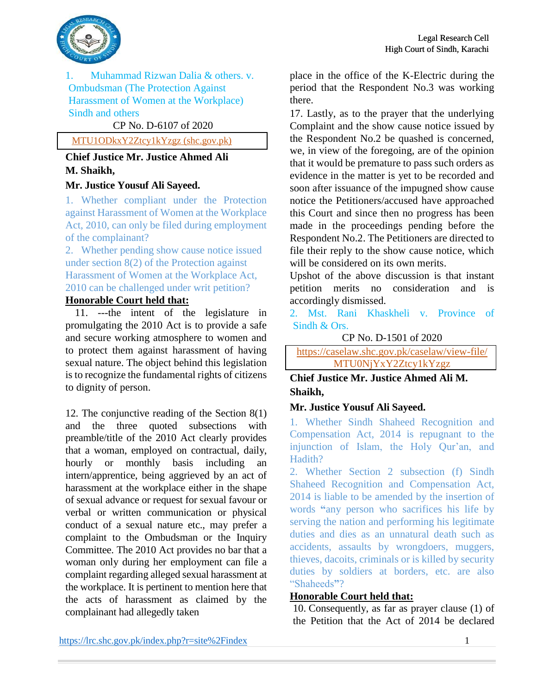

1. Muhammad Rizwan Dalia & others. v. Ombudsman (The Protection Against Harassment of Women at the Workplace) Sindh and others

### CP No. D-6107 of 2020

### [MTU1ODkxY2Ztcy1kYzgz \(shc.gov.pk\)](https://caselaw.shc.gov.pk/caselaw/view-file/MTU1ODkxY2Ztcy1kYzgz)

### **Chief Justice Mr. Justice Ahmed Ali M. Shaikh,**

#### **Mr. Justice Yousuf Ali Sayeed.**

1. Whether compliant under the Protection against Harassment of Women at the Workplace Act, 2010, can only be filed during employment of the complainant?

2. Whether pending show cause notice issued under section 8(2) of the Protection against Harassment of Women at the Workplace Act, 2010 can be challenged under writ petition?

### **Honorable Court held that:**

 $\overline{11}$ . ---the intent of the legislature in promulgating the 2010 Act is to provide a safe and secure working atmosphere to women and to protect them against harassment of having sexual nature. The object behind this legislation is to recognize the fundamental rights of citizens to dignity of person.

12. The conjunctive reading of the Section 8(1) and the three quoted subsections with preamble/title of the 2010 Act clearly provides that a woman, employed on contractual, daily, hourly or monthly basis including an intern/apprentice, being aggrieved by an act of harassment at the workplace either in the shape of sexual advance or request for sexual favour or verbal or written communication or physical conduct of a sexual nature etc., may prefer a complaint to the Ombudsman or the Inquiry Committee. The 2010 Act provides no bar that a woman only during her employment can file a complaint regarding alleged sexual harassment at the workplace. It is pertinent to mention here that the acts of harassment as claimed by the complainant had allegedly taken

place in the office of the K-Electric during the period that the Respondent No.3 was working there.

17. Lastly, as to the prayer that the underlying Complaint and the show cause notice issued by the Respondent No.2 be quashed is concerned, we, in view of the foregoing, are of the opinion that it would be premature to pass such orders as evidence in the matter is yet to be recorded and soon after issuance of the impugned show cause notice the Petitioners/accused have approached this Court and since then no progress has been made in the proceedings pending before the Respondent No.2. The Petitioners are directed to file their reply to the show cause notice, which will be considered on its own merits.

Upshot of the above discussion is that instant petition merits no consideration and is accordingly dismissed.

2. Mst. Rani Khaskheli v. Province of Sindh & Ors.

CP No. D-1501 of 2020

<https://caselaw.shc.gov.pk/caselaw/view-file/> MTU0NjYxY2Ztcy1kYzgz

### **Chief Justice Mr. Justice Ahmed Ali M. Shaikh,**

#### **Mr. Justice Yousuf Ali Sayeed.**

1. Whether Sindh Shaheed Recognition and Compensation Act, 2014 is repugnant to the injunction of Islam, the Holy Qur'an, and Hadith?

2. Whether Section 2 subsection (f) Sindh Shaheed Recognition and Compensation Act, 2014 is liable to be amended by the insertion of words **"**any person who sacrifices his life by serving the nation and performing his legitimate duties and dies as an unnatural death such as accidents, assaults by wrongdoers, muggers, thieves, dacoits, criminals or is killed by security duties by soldiers at borders, etc. are also "Shaheeds**"**?

#### **Honorable Court held that:**

10. Consequently, as far as prayer clause (1) of the Petition that the Act of 2014 be declared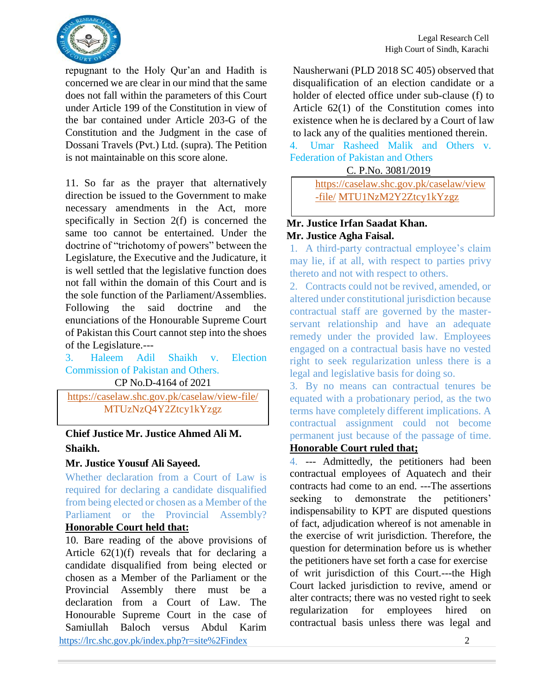

repugnant to the Holy Qur'an and Hadith is concerned we are clear in our mind that the same does not fall within the parameters of this Court under Article 199 of the Constitution in view of the bar contained under Article 203-G of the Constitution and the Judgment in the case of Dossani Travels (Pvt.) Ltd. (supra). The Petition is not maintainable on this score alone.

11. So far as the prayer that alternatively direction be issued to the Government to make necessary amendments in the Act, more specifically in Section 2(f) is concerned the same too cannot be entertained. Under the doctrine of "trichotomy of powers" between the Legislature, the Executive and the Judicature, it is well settled that the legislative function does not fall within the domain of this Court and is the sole function of the Parliament/Assemblies. Following the said doctrine and the enunciations of the Honourable Supreme Court of Pakistan this Court cannot step into the shoes of the Legislature.---

3. Haleem Adil Shaikh v. Election Commission of Pakistan and Others. CP No.D-4164 of 2021

<https://caselaw.shc.gov.pk/caselaw/view-file/> MTUzNzQ4Y2Ztcy1kYzgz

**Chief Justice Mr. Justice Ahmed Ali M. Shaikh.**

### **Mr. Justice Yousuf Ali Sayeed.**

Whether declaration from a Court of Law is required for declaring a candidate disqualified from being elected or chosen as a Member of the Parliament or the Provincial Assembly? **Honorable Court held that:** 

<https://lrc.shc.gov.pk/index.php?r=site%2Findex> 2 10. Bare reading of the above provisions of Article  $62(1)(f)$  reveals that for declaring a candidate disqualified from being elected or chosen as a Member of the Parliament or the Provincial Assembly there must be a declaration from a Court of Law. The Honourable Supreme Court in the case of Samiullah Baloch versus Abdul Karim

Nausherwani (PLD 2018 SC 405) observed that disqualification of an election candidate or a holder of elected office under sub-clause (f) to Article 62(1) of the Constitution comes into existence when he is declared by a Court of law to lack any of the qualities mentioned therein.

4. Umar Rasheed Malik and Others v. Federation of Pakistan and Others

C. P.No. 3081/2019

[https://caselaw.shc.gov.pk/caselaw/view](https://caselaw.shc.gov.pk/caselaw/view-file/) [-file/](https://caselaw.shc.gov.pk/caselaw/view-file/) MTU1NzM2Y2Ztcy1kYzgz

### **Mr. Justice Irfan Saadat Khan. Mr. Justice Agha Faisal.**

1. A third-party contractual employee's claim may lie, if at all, with respect to parties privy thereto and not with respect to others.

2. Contracts could not be revived, amended, or altered under constitutional jurisdiction because contractual staff are governed by the masterservant relationship and have an adequate remedy under the provided law. Employees engaged on a contractual basis have no vested right to seek regularization unless there is a legal and legislative basis for doing so.

3. By no means can contractual tenures be equated with a probationary period, as the two terms have completely different implications. A contractual assignment could not become permanent just because of the passage of time.

### **Honorable Court ruled that;**

4. --- Admittedly, the petitioners had been contractual employees of Aquatech and their contracts had come to an end. ---The assertions seeking to demonstrate the petitioners' indispensability to KPT are disputed questions of fact, adjudication whereof is not amenable in the exercise of writ jurisdiction. Therefore, the question for determination before us is whether the petitioners have set forth a case for exercise of writ jurisdiction of this Court.---the High Court lacked jurisdiction to revive, amend or alter contracts; there was no vested right to seek regularization for employees hired on contractual basis unless there was legal and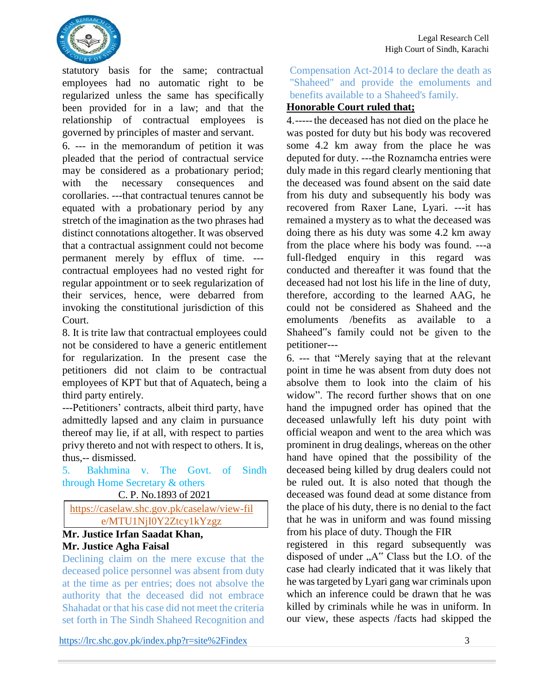

statutory basis for the same; contractual employees had no automatic right to be regularized unless the same has specifically been provided for in a law; and that the relationship of contractual employees is governed by principles of master and servant.

6. --- in the memorandum of petition it was pleaded that the period of contractual service may be considered as a probationary period; with the necessary consequences and corollaries. ---that contractual tenures cannot be equated with a probationary period by any stretch of the imagination as the two phrases had distinct connotations altogether. It was observed that a contractual assignment could not become permanent merely by efflux of time. -- contractual employees had no vested right for regular appointment or to seek regularization of their services, hence, were debarred from invoking the constitutional jurisdiction of this Court.

8. It is trite law that contractual employees could not be considered to have a generic entitlement for regularization. In the present case the petitioners did not claim to be contractual employees of KPT but that of Aquatech, being a third party entirely.

---Petitioners' contracts, albeit third party, have admittedly lapsed and any claim in pursuance thereof may lie, if at all, with respect to parties privy thereto and not with respect to others. It is, thus,-- dismissed.

5. Bakhmina v. The Govt. of Sindh through Home Secretary & others

C. P. No.1893 of 2021

<https://caselaw.shc.gov.pk/caselaw/view-fil> e/MTU1NjI0Y2Ztcy1kYzgz

### **Mr. Justice Irfan Saadat Khan, Mr. Justice Agha Faisal**

Declining claim on the mere excuse that the deceased police personnel was absent from duty at the time as per entries; does not absolve the authority that the deceased did not embrace Shahadat or that his case did not meet the criteria set forth in The Sindh Shaheed Recognition and

<https://lrc.shc.gov.pk/index.php?r=site%2Findex> 3

Compensation Act-2014 to declare the death as "Shaheed" and provide the emoluments and benefits available to a Shaheed's family.

### **Honorable Court ruled that;**

4.-----the deceased has not died on the place he was posted for duty but his body was recovered some 4.2 km away from the place he was deputed for duty. ---the Roznamcha entries were duly made in this regard clearly mentioning that the deceased was found absent on the said date from his duty and subsequently his body was recovered from Raxer Lane, Lyari. ---it has remained a mystery as to what the deceased was doing there as his duty was some 4.2 km away from the place where his body was found. ---a full-fledged enquiry in this regard was conducted and thereafter it was found that the deceased had not lost his life in the line of duty, therefore, according to the learned AAG, he could not be considered as Shaheed and the emoluments /benefits as available to a Shaheed"s family could not be given to the petitioner---

6. --- that "Merely saying that at the relevant point in time he was absent from duty does not absolve them to look into the claim of his widow". The record further shows that on one hand the impugned order has opined that the deceased unlawfully left his duty point with official weapon and went to the area which was prominent in drug dealings, whereas on the other hand have opined that the possibility of the deceased being killed by drug dealers could not be ruled out. It is also noted that though the deceased was found dead at some distance from the place of his duty, there is no denial to the fact that he was in uniform and was found missing from his place of duty. Though the FIR

registered in this regard subsequently was disposed of under "A" Class but the I.O. of the case had clearly indicated that it was likely that he was targeted by Lyari gang war criminals upon which an inference could be drawn that he was killed by criminals while he was in uniform. In our view, these aspects /facts had skipped the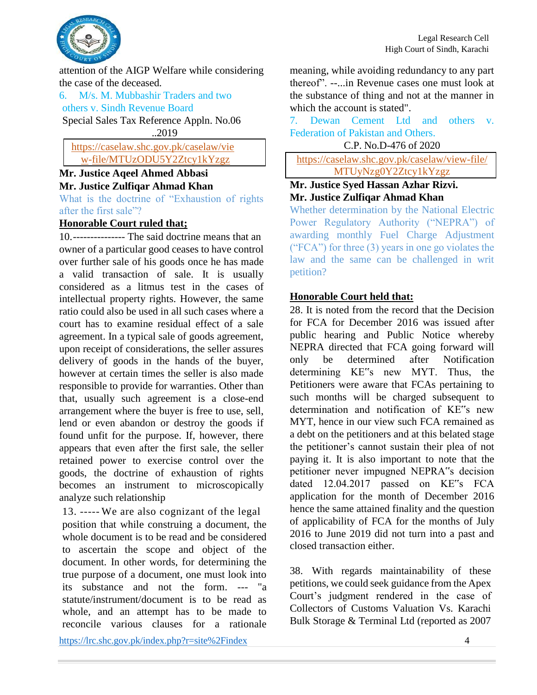

attention of the AIGP Welfare while considering the case of the deceased.

6. M/s. M. Mubbashir Traders and two others v. Sindh Revenue Board

Special Sales Tax Reference Appln. No.06

..2019

[https://caselaw.shc.gov.pk/caselaw/vie](https://caselaw.shc.gov.pk/caselaw/view) [w-](https://caselaw.shc.gov.pk/caselaw/view)file/MTUzODU5Y2Ztcy1kYzgz

## **Mr. Justice Aqeel Ahmed Abbasi Mr. Justice Zulfiqar Ahmad Khan**

What is the doctrine of "Exhaustion of rights after the first sale"?

### **Honorable Court ruled that;**

10.--------------- The said doctrine means that an owner of a particular good ceases to have control over further sale of his goods once he has made a valid transaction of sale. It is usually considered as a litmus test in the cases of intellectual property rights. However, the same ratio could also be used in all such cases where a court has to examine residual effect of a sale agreement. In a typical sale of goods agreement, upon receipt of considerations, the seller assures delivery of goods in the hands of the buyer, however at certain times the seller is also made responsible to provide for warranties. Other than that, usually such agreement is a close-end arrangement where the buyer is free to use, sell, lend or even abandon or destroy the goods if found unfit for the purpose. If, however, there appears that even after the first sale, the seller retained power to exercise control over the goods, the doctrine of exhaustion of rights becomes an instrument to microscopically analyze such relationship

13. ----- We are also cognizant of the legal position that while construing a document, the whole document is to be read and be considered to ascertain the scope and object of the document. In other words, for determining the true purpose of a document, one must look into its substance and not the form. --- "a statute/instrument/document is to be read as whole, and an attempt has to be made to reconcile various clauses for a rationale meaning, while avoiding redundancy to any part thereof". --...in Revenue cases one must look at the substance of thing and not at the manner in which the account is stated".

7. Dewan Cement Ltd and others v. Federation of Pakistan and Others.

C.P. No.D-476 of 2020

<https://caselaw.shc.gov.pk/caselaw/view-file/> MTUyNzg0Y2Ztcy1kYzgz

### **Mr. Justice Syed Hassan Azhar Rizvi. Mr. Justice Zulfiqar Ahmad Khan**

Whether determination by the National Electric Power Regulatory Authority ("NEPRA") of awarding monthly Fuel Charge Adjustment ("FCA") for three (3) years in one go violates the law and the same can be challenged in writ petition?

### **Honorable Court held that:**

28. It is noted from the record that the Decision for FCA for December 2016 was issued after public hearing and Public Notice whereby NEPRA directed that FCA going forward will only be determined after Notification determining KE"s new MYT. Thus, the Petitioners were aware that FCAs pertaining to such months will be charged subsequent to determination and notification of KE"s new MYT, hence in our view such FCA remained as a debt on the petitioners and at this belated stage the petitioner's cannot sustain their plea of not paying it. It is also important to note that the petitioner never impugned NEPRA"s decision dated 12.04.2017 passed on KE"s FCA application for the month of December 2016 hence the same attained finality and the question of applicability of FCA for the months of July 2016 to June 2019 did not turn into a past and closed transaction either.

38. With regards maintainability of these petitions, we could seek guidance from the Apex Court's judgment rendered in the case of Collectors of Customs Valuation Vs. Karachi Bulk Storage & Terminal Ltd (reported as 2007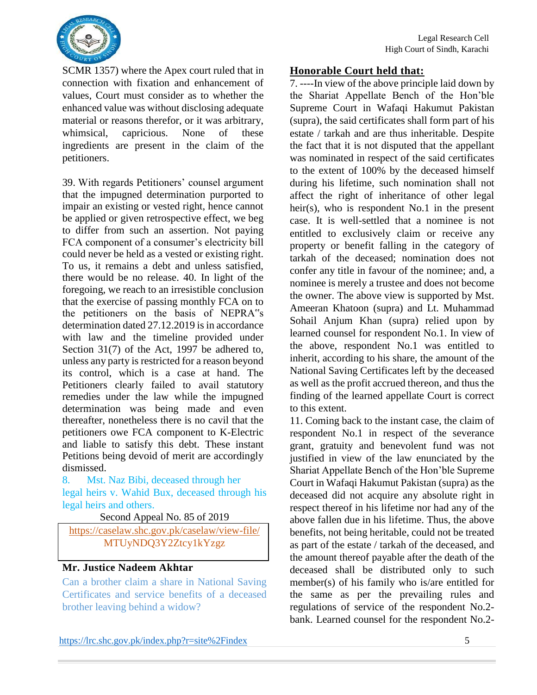

SCMR 1357) where the Apex court ruled that in connection with fixation and enhancement of values, Court must consider as to whether the enhanced value was without disclosing adequate material or reasons therefor, or it was arbitrary, whimsical, capricious. None of these ingredients are present in the claim of the petitioners.

39. With regards Petitioners' counsel argument that the impugned determination purported to impair an existing or vested right, hence cannot be applied or given retrospective effect, we beg to differ from such an assertion. Not paying FCA component of a consumer's electricity bill could never be held as a vested or existing right. To us, it remains a debt and unless satisfied, there would be no release. 40. In light of the foregoing, we reach to an irresistible conclusion that the exercise of passing monthly FCA on to the petitioners on the basis of NEPRA"s determination dated 27.12.2019 is in accordance with law and the timeline provided under Section 31(7) of the Act, 1997 be adhered to, unless any party is restricted for a reason beyond its control, which is a case at hand. The Petitioners clearly failed to avail statutory remedies under the law while the impugned determination was being made and even thereafter, nonetheless there is no cavil that the petitioners owe FCA component to K-Electric and liable to satisfy this debt. These instant Petitions being devoid of merit are accordingly dismissed.

8. Mst. Naz Bibi, deceased through her legal heirs v. Wahid Bux, deceased through his legal heirs and others.

Second Appeal No. 85 of 2019

<https://caselaw.shc.gov.pk/caselaw/view-file/> MTUyNDQ3Y2Ztcy1kYzgz

### **Mr. Justice Nadeem Akhtar**

Can a brother claim a share in National Saving Certificates and service benefits of a deceased brother leaving behind a widow?

### **Honorable Court held that:**

7. ----In view of the above principle laid down by the Shariat Appellate Bench of the Hon'ble Supreme Court in Wafaqi Hakumut Pakistan (supra), the said certificates shall form part of his estate / tarkah and are thus inheritable. Despite the fact that it is not disputed that the appellant was nominated in respect of the said certificates to the extent of 100% by the deceased himself during his lifetime, such nomination shall not affect the right of inheritance of other legal heir(s), who is respondent No.1 in the present case. It is well-settled that a nominee is not entitled to exclusively claim or receive any property or benefit falling in the category of tarkah of the deceased; nomination does not confer any title in favour of the nominee; and, a nominee is merely a trustee and does not become the owner. The above view is supported by Mst. Ameeran Khatoon (supra) and Lt. Muhammad Sohail Anjum Khan (supra) relied upon by learned counsel for respondent No.1. In view of the above, respondent No.1 was entitled to inherit, according to his share, the amount of the National Saving Certificates left by the deceased as well as the profit accrued thereon, and thus the finding of the learned appellate Court is correct to this extent.

11. Coming back to the instant case, the claim of respondent No.1 in respect of the severance grant, gratuity and benevolent fund was not justified in view of the law enunciated by the Shariat Appellate Bench of the Hon'ble Supreme Court in Wafaqi Hakumut Pakistan (supra) as the deceased did not acquire any absolute right in respect thereof in his lifetime nor had any of the above fallen due in his lifetime. Thus, the above benefits, not being heritable, could not be treated as part of the estate / tarkah of the deceased, and the amount thereof payable after the death of the deceased shall be distributed only to such member(s) of his family who is/are entitled for the same as per the prevailing rules and regulations of service of the respondent No.2 bank. Learned counsel for the respondent No.2-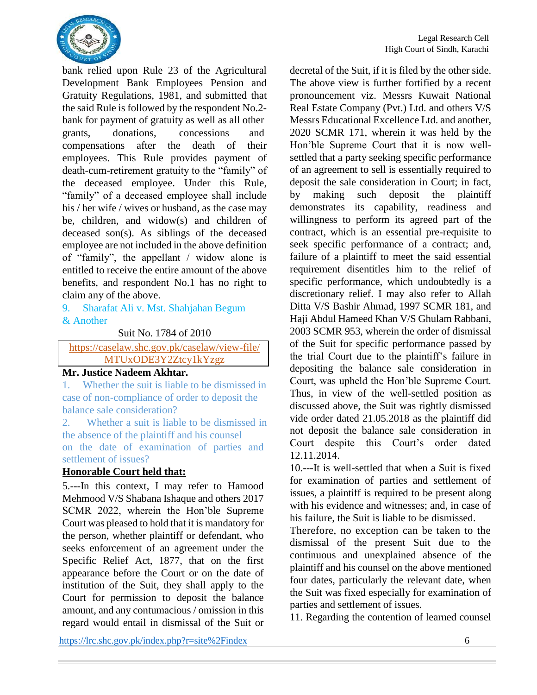

bank relied upon Rule 23 of the Agricultural Development Bank Employees Pension and Gratuity Regulations, 1981, and submitted that the said Rule is followed by the respondent No.2 bank for payment of gratuity as well as all other grants, donations, concessions and compensations after the death of their employees. This Rule provides payment of death-cum-retirement gratuity to the "family" of the deceased employee. Under this Rule, "family" of a deceased employee shall include his / her wife / wives or husband, as the case may be, children, and widow(s) and children of deceased son(s). As siblings of the deceased employee are not included in the above definition of "family", the appellant / widow alone is entitled to receive the entire amount of the above benefits, and respondent No.1 has no right to claim any of the above.

#### 9. Sharafat Ali v. Mst. Shahjahan Begum & Another

Suit No. 1784 of 2010

<https://caselaw.shc.gov.pk/caselaw/view-file/> MTUxODE3Y2Ztcy1kYzgz

### **Mr. Justice Nadeem Akhtar.**

1. Whether the suit is liable to be dismissed in case of non-compliance of order to deposit the balance sale consideration?

2. Whether a suit is liable to be dismissed in the absence of the plaintiff and his counsel on the date of examination of parties and settlement of issues?

### **Honorable Court held that:**

5.---In this context, I may refer to Hamood Mehmood V/S Shabana Ishaque and others 2017 SCMR 2022, wherein the Hon'ble Supreme Court was pleased to hold that it is mandatory for the person, whether plaintiff or defendant, who seeks enforcement of an agreement under the Specific Relief Act, 1877, that on the first appearance before the Court or on the date of institution of the Suit, they shall apply to the Court for permission to deposit the balance amount, and any contumacious / omission in this regard would entail in dismissal of the Suit or decretal of the Suit, if it is filed by the other side. The above view is further fortified by a recent pronouncement viz. Messrs Kuwait National Real Estate Company (Pvt.) Ltd. and others V/S Messrs Educational Excellence Ltd. and another, 2020 SCMR 171, wherein it was held by the Hon'ble Supreme Court that it is now wellsettled that a party seeking specific performance of an agreement to sell is essentially required to deposit the sale consideration in Court; in fact, by making such deposit the plaintiff demonstrates its capability, readiness and willingness to perform its agreed part of the contract, which is an essential pre-requisite to seek specific performance of a contract; and, failure of a plaintiff to meet the said essential requirement disentitles him to the relief of specific performance, which undoubtedly is a discretionary relief. I may also refer to Allah Ditta V/S Bashir Ahmad, 1997 SCMR 181, and Haji Abdul Hameed Khan V/S Ghulam Rabbani, 2003 SCMR 953, wherein the order of dismissal of the Suit for specific performance passed by the trial Court due to the plaintiff's failure in depositing the balance sale consideration in Court, was upheld the Hon'ble Supreme Court. Thus, in view of the well-settled position as discussed above, the Suit was rightly dismissed vide order dated 21.05.2018 as the plaintiff did not deposit the balance sale consideration in Court despite this Court's order dated 12.11.2014.

10.---It is well-settled that when a Suit is fixed for examination of parties and settlement of issues, a plaintiff is required to be present along with his evidence and witnesses; and, in case of his failure, the Suit is liable to be dismissed.

Therefore, no exception can be taken to the dismissal of the present Suit due to the continuous and unexplained absence of the plaintiff and his counsel on the above mentioned four dates, particularly the relevant date, when the Suit was fixed especially for examination of parties and settlement of issues.

11. Regarding the contention of learned counsel

<https://lrc.shc.gov.pk/index.php?r=site%2Findex> 6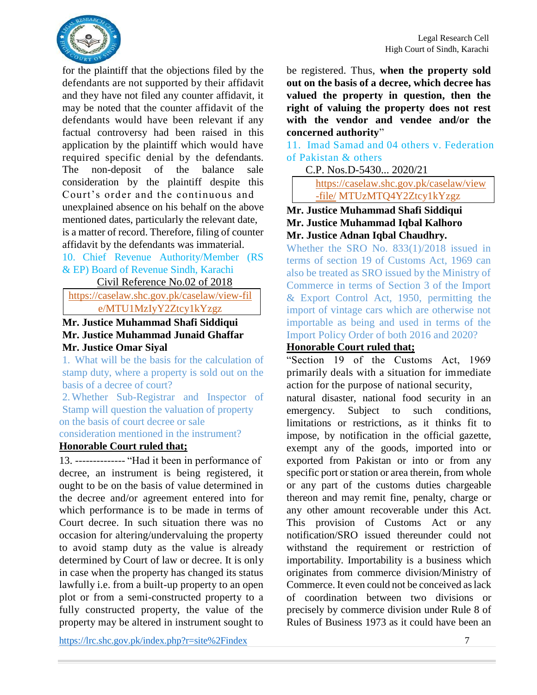

for the plaintiff that the objections filed by the defendants are not supported by their affidavit and they have not filed any counter affidavit, it may be noted that the counter affidavit of the defendants would have been relevant if any factual controversy had been raised in this application by the plaintiff which would have required specific denial by the defendants. The non-deposit of the balance sale consideration by the plaintiff despite this Court's order and the continuous and unexplained absence on his behalf on the above mentioned dates, particularly the relevant date, is a matter of record. Therefore, filing of counter affidavit by the defendants was immaterial.

10. Chief Revenue Authority/Member (RS & EP) Board of Revenue Sindh, Karachi

Civil Reference No.02 of 2018

<https://caselaw.shc.gov.pk/caselaw/view-fil> e/MTU1MzIyY2Ztcy1kYzgz

#### **Mr. Justice Muhammad Shafi Siddiqui Mr. Justice Muhammad Junaid Ghaffar Mr. Justice Omar Siyal**

1. What will be the basis for the calculation of stamp duty, where a property is sold out on the basis of a decree of court?

2.Whether Sub-Registrar and Inspector of Stamp will question the valuation of property on the basis of court decree or sale

consideration mentioned in the instrument?

### **Honorable Court ruled that;**

13. -------------- "Had it been in performance of decree, an instrument is being registered, it ought to be on the basis of value determined in the decree and/or agreement entered into for which performance is to be made in terms of Court decree. In such situation there was no occasion for altering/undervaluing the property to avoid stamp duty as the value is already determined by Court of law or decree. It is only in case when the property has changed its status lawfully i.e. from a built-up property to an open plot or from a semi-constructed property to a fully constructed property, the value of the property may be altered in instrument sought to be registered. Thus, **when the property sold out on the basis of a decree, which decree has valued the property in question, then the right of valuing the property does not rest with the vendor and vendee and/or the concerned authority**"

11. Imad Samad and 04 others v. Federation of Pakistan & others

C.P. Nos.D-5430... 2020/21

[https://caselaw.shc.gov.pk/caselaw/view](https://caselaw.shc.gov.pk/caselaw/view-file/) [-file/](https://caselaw.shc.gov.pk/caselaw/view-file/) MTUzMTQ4Y2Ztcy1kYzgz

### **Mr. Justice Muhammad Shafi Siddiqui Mr. Justice Muhammad Iqbal Kalhoro Mr. Justice Adnan Iqbal Chaudhry.**

Whether the SRO No. 833(1)/2018 issued in terms of section 19 of Customs Act, 1969 can also be treated as SRO issued by the Ministry of Commerce in terms of Section 3 of the Import & Export Control Act, 1950, permitting the import of vintage cars which are otherwise not importable as being and used in terms of the Import Policy Order of both 2016 and 2020?

### **Honorable Court ruled that;**

"Section 19 of the Customs Act, 1969 primarily deals with a situation for immediate action for the purpose of national security,

natural disaster, national food security in an emergency. Subject to such conditions, limitations or restrictions, as it thinks fit to impose, by notification in the official gazette, exempt any of the goods, imported into or exported from Pakistan or into or from any specific port or station or area therein, from whole or any part of the customs duties chargeable thereon and may remit fine, penalty, charge or any other amount recoverable under this Act. This provision of Customs Act or any notification/SRO issued thereunder could not withstand the requirement or restriction of importability. Importability is a business which originates from commerce division/Ministry of Commerce. It even could not be conceived as lack of coordination between two divisions or precisely by commerce division under Rule 8 of Rules of Business 1973 as it could have been an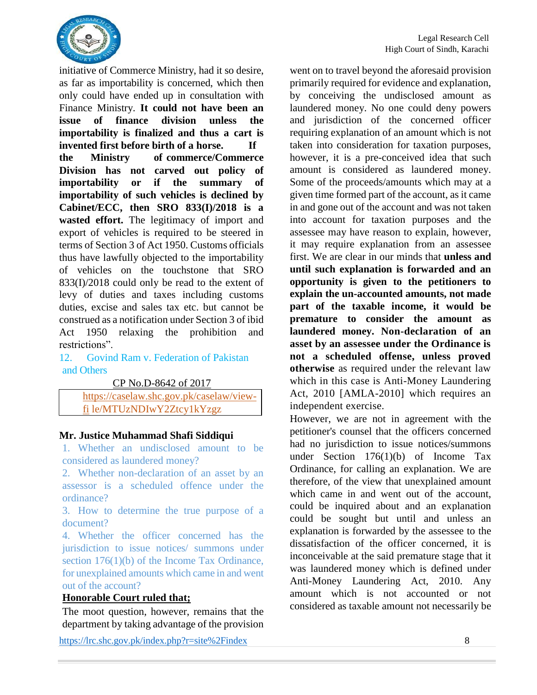

initiative of Commerce Ministry, had it so desire, as far as importability is concerned, which then only could have ended up in consultation with Finance Ministry. **It could not have been an issue of finance division unless the importability is finalized and thus a cart is invented first before birth of a horse. If the Ministry of commerce/Commerce Division has not carved out policy of importability or if the summary of importability of such vehicles is declined by Cabinet/ECC, then SRO 833(I)/2018 is a wasted effort.** The legitimacy of import and export of vehicles is required to be steered in terms of Section 3 of Act 1950. Customs officials thus have lawfully objected to the importability of vehicles on the touchstone that SRO 833(I)/2018 could only be read to the extent of levy of duties and taxes including customs duties, excise and sales tax etc. but cannot be construed as a notification under Section 3 of ibid Act 1950 relaxing the prohibition and restrictions".

12. Govind Ram v. Federation of Pakistan and Others

CP No.D-8642 of 2017

[https://caselaw.shc.gov.pk/caselaw/view](https://caselaw.shc.gov.pk/caselaw/view-fi)[fi](https://caselaw.shc.gov.pk/caselaw/view-fi) le/MTUzNDIwY2Ztcy1kYzgz

#### **Mr. Justice Muhammad Shafi Siddiqui**

1. Whether an undisclosed amount to be considered as laundered money?

2. Whether non-declaration of an asset by an assessor is a scheduled offence under the ordinance?

3. How to determine the true purpose of a document?

4. Whether the officer concerned has the jurisdiction to issue notices/ summons under section 176(1)(b) of the Income Tax Ordinance, for unexplained amounts which came in and went out of the account?

### **Honorable Court ruled that;**

The moot question, however, remains that the department by taking advantage of the provision

<https://lrc.shc.gov.pk/index.php?r=site%2Findex> 8

went on to travel beyond the aforesaid provision primarily required for evidence and explanation, by conceiving the undisclosed amount as laundered money. No one could deny powers and jurisdiction of the concerned officer requiring explanation of an amount which is not taken into consideration for taxation purposes, however, it is a pre-conceived idea that such amount is considered as laundered money. Some of the proceeds/amounts which may at a given time formed part of the account, as it came in and gone out of the account and was not taken into account for taxation purposes and the assessee may have reason to explain, however, it may require explanation from an assessee first. We are clear in our minds that **unless and until such explanation is forwarded and an opportunity is given to the petitioners to explain the un-accounted amounts, not made part of the taxable income, it would be premature to consider the amount as laundered money. Non-declaration of an asset by an assessee under the Ordinance is not a scheduled offense, unless proved otherwise** as required under the relevant law which in this case is Anti-Money Laundering Act, 2010 [AMLA-2010] which requires an independent exercise.

However, we are not in agreement with the petitioner's counsel that the officers concerned had no jurisdiction to issue notices/summons under Section 176(1)(b) of Income Tax Ordinance, for calling an explanation. We are therefore, of the view that unexplained amount which came in and went out of the account, could be inquired about and an explanation could be sought but until and unless an explanation is forwarded by the assessee to the dissatisfaction of the officer concerned, it is inconceivable at the said premature stage that it was laundered money which is defined under Anti-Money Laundering Act, 2010. Any amount which is not accounted or not considered as taxable amount not necessarily be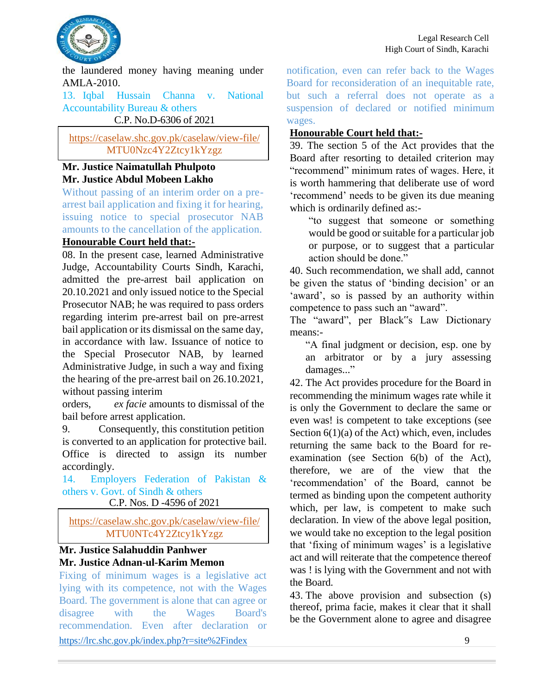

the laundered money having meaning under AMLA-2010.

13. Iqbal Hussain Channa v. National Accountability Bureau & others C.P. No.D-6306 of 2021

<https://caselaw.shc.gov.pk/caselaw/view-file/> MTU0Nzc4Y2Ztcy1kYzgz

### **Mr. Justice Naimatullah Phulpoto Mr. Justice Abdul Mobeen Lakho**

Without passing of an interim order on a prearrest bail application and fixing it for hearing, issuing notice to special prosecutor NAB amounts to the cancellation of the application.

### **Honourable Court held that:-**

08. In the present case, learned Administrative Judge, Accountability Courts Sindh, Karachi, admitted the pre-arrest bail application on 20.10.2021 and only issued notice to the Special Prosecutor NAB; he was required to pass orders regarding interim pre-arrest bail on pre-arrest bail application or its dismissal on the same day, in accordance with law. Issuance of notice to the Special Prosecutor NAB, by learned Administrative Judge, in such a way and fixing the hearing of the pre-arrest bail on 26.10.2021, without passing interim

orders, *ex facie* amounts to dismissal of the bail before arrest application.

9. Consequently, this constitution petition is converted to an application for protective bail. Office is directed to assign its number accordingly.

14. Employers Federation of Pakistan & others v. Govt. of Sindh & others

C.P. Nos. D -4596 of 2021

<https://caselaw.shc.gov.pk/caselaw/view-file/> MTU0NTc4Y2Ztcy1kYzgz

### **Mr. Justice Salahuddin Panhwer Mr. Justice Adnan-ul-Karim Memon**

<https://lrc.shc.gov.pk/index.php?r=site%2Findex> 9 Fixing of minimum wages is a legislative act lying with its competence, not with the Wages Board. The government is alone that can agree or disagree with the Wages Board's recommendation. Even after declaration or

notification, even can refer back to the Wages Board for reconsideration of an inequitable rate, but such a referral does not operate as a suspension of declared or notified minimum wages.

### **Honourable Court held that:-**

39. The section 5 of the Act provides that the Board after resorting to detailed criterion may "recommend" minimum rates of wages. Here, it is worth hammering that deliberate use of word 'recommend' needs to be given its due meaning which is ordinarily defined as:-

"to suggest that someone or something would be good or suitable for a particular job or purpose, or to suggest that a particular action should be done."

40. Such recommendation, we shall add, cannot be given the status of 'binding decision' or an 'award', so is passed by an authority within competence to pass such an "award".

The "award", per Black"s Law Dictionary means:-

"A final judgment or decision, esp. one by an arbitrator or by a jury assessing damages..."

42. The Act provides procedure for the Board in recommending the minimum wages rate while it is only the Government to declare the same or even was! is competent to take exceptions (see Section  $6(1)(a)$  of the Act) which, even, includes returning the same back to the Board for reexamination (see Section 6(b) of the Act), therefore, we are of the view that the 'recommendation' of the Board, cannot be termed as binding upon the competent authority which, per law, is competent to make such declaration. In view of the above legal position, we would take no exception to the legal position that 'fixing of minimum wages' is a legislative act and will reiterate that the competence thereof was ! is lying with the Government and not with the Board.

43. The above provision and subsection (s) thereof, prima facie, makes it clear that it shall be the Government alone to agree and disagree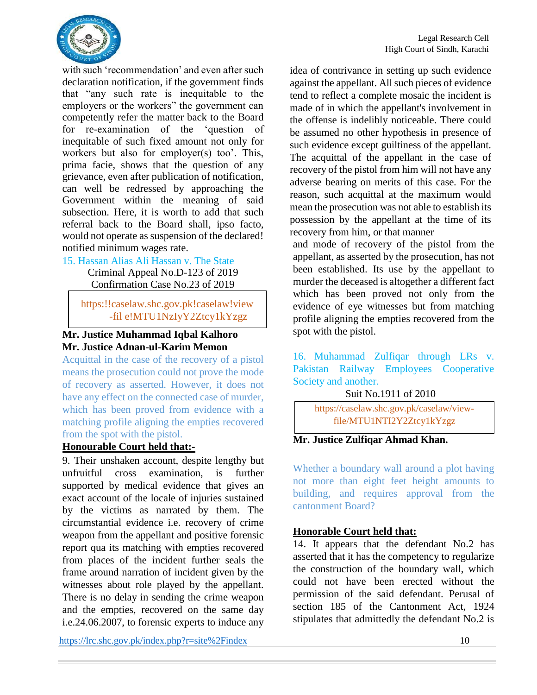

with such 'recommendation' and even after such declaration notification, if the government finds that "any such rate is inequitable to the employers or the workers" the government can competently refer the matter back to the Board for re-examination of the 'question of inequitable of such fixed amount not only for workers but also for employer(s) too'. This, prima facie, shows that the question of any grievance, even after publication of notification, can well be redressed by approaching the Government within the meaning of said subsection. Here, it is worth to add that such referral back to the Board shall, ipso facto, would not operate as suspension of the declared! notified minimum wages rate.

#### 15. Hassan Alias Ali Hassan v. The State

Criminal Appeal No.D-123 of 2019 Confirmation Case No.23 of 2019

https:!!caselaw.shc.gov.pk!caselaw!view -fil e!MTU1NzIyY2Ztcy1kYzgz

### **Mr. Justice Muhammad Iqbal Kalhoro Mr. Justice Adnan-ul-Karim Memon**

Acquittal in the case of the recovery of a pistol means the prosecution could not prove the mode of recovery as asserted. However, it does not have any effect on the connected case of murder, which has been proved from evidence with a matching profile aligning the empties recovered from the spot with the pistol.

#### **Honourable Court held that:-**

9. Their unshaken account, despite lengthy but unfruitful cross examination, is further supported by medical evidence that gives an exact account of the locale of injuries sustained by the victims as narrated by them. The circumstantial evidence i.e. recovery of crime weapon from the appellant and positive forensic report qua its matching with empties recovered from places of the incident further seals the frame around narration of incident given by the witnesses about role played by the appellant. There is no delay in sending the crime weapon and the empties, recovered on the same day i.e.24.06.2007, to forensic experts to induce any idea of contrivance in setting up such evidence against the appellant. All such pieces of evidence tend to reflect a complete mosaic the incident is made of in which the appellant's involvement in the offense is indelibly noticeable. There could be assumed no other hypothesis in presence of such evidence except guiltiness of the appellant. The acquittal of the appellant in the case of recovery of the pistol from him will not have any adverse bearing on merits of this case. For the reason, such acquittal at the maximum would mean the prosecution was not able to establish its possession by the appellant at the time of its recovery from him, or that manner

and mode of recovery of the pistol from the appellant, as asserted by the prosecution, has not been established. Its use by the appellant to murder the deceased is altogether a different fact which has been proved not only from the evidence of eye witnesses but from matching profile aligning the empties recovered from the spot with the pistol.

16. Muhammad Zulfiqar through LRs v. Pakistan Railway Employees Cooperative Society and another.

Suit No.1911 of 2010

[https://caselaw.shc.gov.pk/caselaw/view](https://caselaw.shc.gov.pk/caselaw/view-file/MTU1NTI2Y2Ztcy1kYzgz)[file/MTU1NTI2Y2Ztcy1kYzgz](https://caselaw.shc.gov.pk/caselaw/view-file/MTU1NTI2Y2Ztcy1kYzgz)

### **Mr. Justice Zulfiqar Ahmad Khan.**

Whether a boundary wall around a plot having not more than eight feet height amounts to building, and requires approval from the cantonment Board?

### **Honorable Court held that:**

14. It appears that the defendant No.2 has asserted that it has the competency to regularize the construction of the boundary wall, which could not have been erected without the permission of the said defendant. Perusal of section 185 of the Cantonment Act, 1924 stipulates that admittedly the defendant No.2 is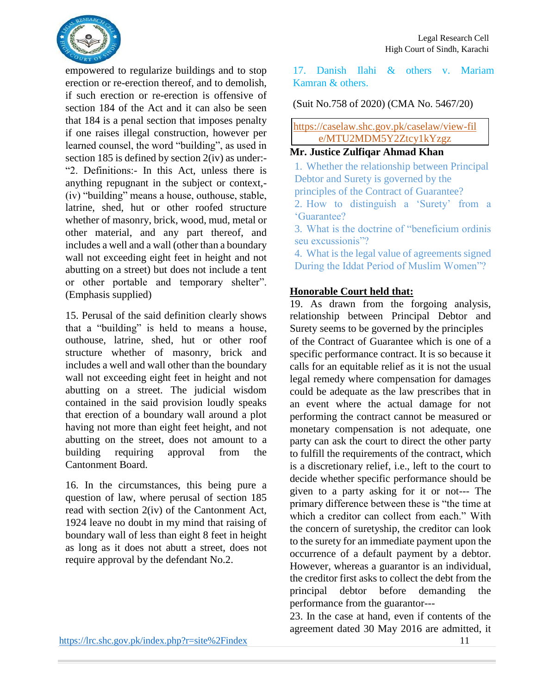

empowered to regularize buildings and to stop erection or re-erection thereof, and to demolish, if such erection or re-erection is offensive of section 184 of the Act and it can also be seen that 184 is a penal section that imposes penalty if one raises illegal construction, however per learned counsel, the word "building", as used in section 185 is defined by section 2(iv) as under:- "2. Definitions:- In this Act, unless there is anything repugnant in the subject or context,- (iv) "building" means a house, outhouse, stable, latrine, shed, hut or other roofed structure whether of masonry, brick, wood, mud, metal or other material, and any part thereof, and includes a well and a wall (other than a boundary wall not exceeding eight feet in height and not abutting on a street) but does not include a tent or other portable and temporary shelter". (Emphasis supplied)

15. Perusal of the said definition clearly shows that a "building" is held to means a house, outhouse, latrine, shed, hut or other roof structure whether of masonry, brick and includes a well and wall other than the boundary wall not exceeding eight feet in height and not abutting on a street. The judicial wisdom contained in the said provision loudly speaks that erection of a boundary wall around a plot having not more than eight feet height, and not abutting on the street, does not amount to a building requiring approval from the Cantonment Board.

16. In the circumstances, this being pure a question of law, where perusal of section 185 read with section 2(iv) of the Cantonment Act, 1924 leave no doubt in my mind that raising of boundary wall of less than eight 8 feet in height as long as it does not abutt a street, does not require approval by the defendant No.2.

17. Danish Ilahi & others v. Mariam Kamran & others.

(Suit No.758 of 2020) (CMA No. 5467/20)

<https://caselaw.shc.gov.pk/caselaw/view-fil> e/MTU2MDM5Y2Ztcy1kYzgz

## **Mr. Justice Zulfiqar Ahmad Khan**

1. Whether the relationship between Principal Debtor and Surety is governed by the principles of the Contract of Guarantee? 2. How to distinguish a 'Surety' from a 'Guarantee? 3. What is the doctrine of "beneficium ordinis seu excussionis"? 4. What is the legal value of agreements signed During the Iddat Period of Muslim Women"?

### **Honorable Court held that:**

19. As drawn from the forgoing analysis, relationship between Principal Debtor and Surety seems to be governed by the principles of the Contract of Guarantee which is one of a specific performance contract. It is so because it calls for an equitable relief as it is not the usual legal remedy where compensation for damages could be adequate as the law prescribes that in an event where the actual damage for not performing the contract cannot be measured or monetary compensation is not adequate, one party can ask the court to direct the other party to fulfill the requirements of the contract, which is a discretionary relief, i.e., left to the court to decide whether specific performance should be given to a party asking for it or not--- The primary difference between these is "the time at which a creditor can collect from each." With the concern of suretyship, the creditor can look to the surety for an immediate payment upon the occurrence of a default payment by a debtor. However, whereas a guarantor is an individual, the creditor first asks to collect the debt from the principal debtor before demanding the performance from the guarantor---

23. In the case at hand, even if contents of the agreement dated 30 May 2016 are admitted, it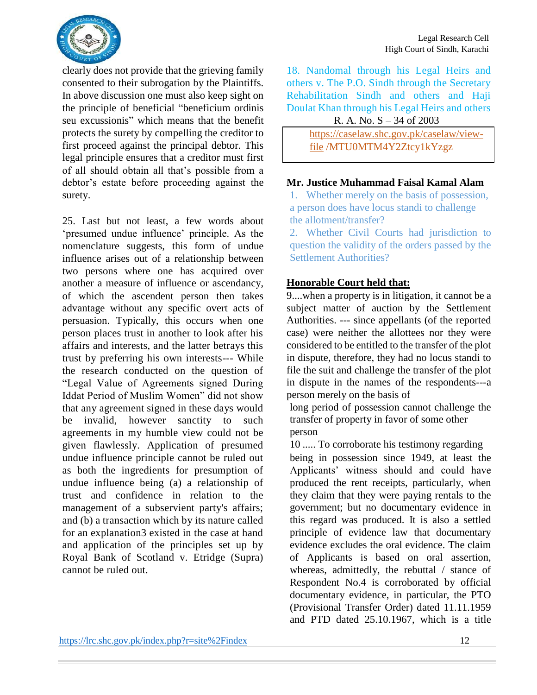

clearly does not provide that the grieving family consented to their subrogation by the Plaintiffs. In above discussion one must also keep sight on the principle of beneficial "beneficium ordinis seu excussionis" which means that the benefit protects the surety by compelling the creditor to first proceed against the principal debtor. This legal principle ensures that a creditor must first of all should obtain all that's possible from a debtor's estate before proceeding against the surety.

25. Last but not least, a few words about 'presumed undue influence' principle. As the nomenclature suggests, this form of undue influence arises out of a relationship between two persons where one has acquired over another a measure of influence or ascendancy, of which the ascendent person then takes advantage without any specific overt acts of persuasion. Typically, this occurs when one person places trust in another to look after his affairs and interests, and the latter betrays this trust by preferring his own interests--- While the research conducted on the question of "Legal Value of Agreements signed During Iddat Period of Muslim Women" did not show that any agreement signed in these days would be invalid, however sanctity to such agreements in my humble view could not be given flawlessly. Application of presumed undue influence principle cannot be ruled out as both the ingredients for presumption of undue influence being (a) a relationship of trust and confidence in relation to the management of a subservient party's affairs; and (b) a transaction which by its nature called for an explanation3 existed in the case at hand and application of the principles set up by Royal Bank of Scotland v. Etridge (Supra) cannot be ruled out.

18. Nandomal through his Legal Heirs and others v. The P.O. Sindh through the Secretary Rehabilitation Sindh and others and Haji Doulat Khan through his Legal Heirs and others

|  | R. A. No. $S - 34$ of 2003 |  |
|--|----------------------------|--|
|  |                            |  |

[https://caselaw.shc.gov.pk/caselaw/view](https://caselaw.shc.gov.pk/caselaw/view-file)[file](https://caselaw.shc.gov.pk/caselaw/view-file) /MTU0MTM4Y2Ztcy1kYzgz

#### **Mr. Justice Muhammad Faisal Kamal Alam**

1. Whether merely on the basis of possession, a person does have locus standi to challenge the allotment/transfer?

2. Whether Civil Courts had jurisdiction to question the validity of the orders passed by the Settlement Authorities?

### **Honorable Court held that:**

9....when a property is in litigation, it cannot be a subject matter of auction by the Settlement Authorities. --- since appellants (of the reported case) were neither the allottees nor they were considered to be entitled to the transfer of the plot in dispute, therefore, they had no locus standi to file the suit and challenge the transfer of the plot in dispute in the names of the respondents---a person merely on the basis of

long period of possession cannot challenge the transfer of property in favor of some other person

10 ..... To corroborate his testimony regarding being in possession since 1949, at least the Applicants' witness should and could have produced the rent receipts, particularly, when they claim that they were paying rentals to the government; but no documentary evidence in this regard was produced. It is also a settled principle of evidence law that documentary evidence excludes the oral evidence. The claim of Applicants is based on oral assertion, whereas, admittedly, the rebuttal / stance of Respondent No.4 is corroborated by official documentary evidence, in particular, the PTO (Provisional Transfer Order) dated 11.11.1959 and PTD dated 25.10.1967, which is a title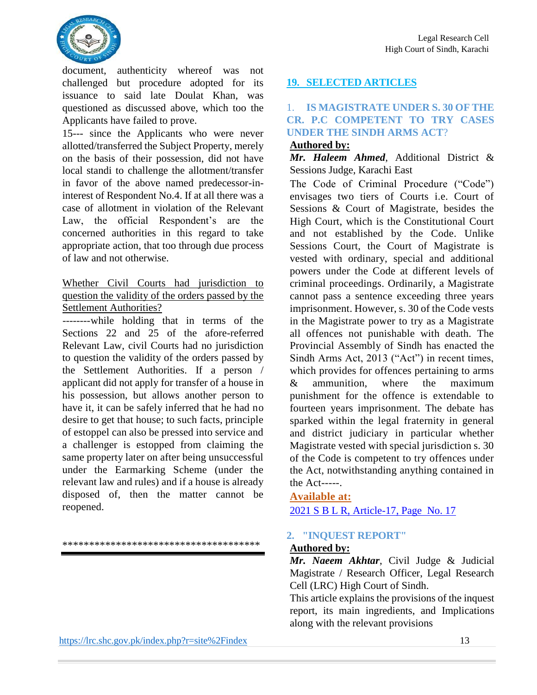

document, authenticity whereof was not challenged but procedure adopted for its issuance to said late Doulat Khan, was questioned as discussed above, which too the Applicants have failed to prove.

15--- since the Applicants who were never allotted/transferred the Subject Property, merely on the basis of their possession, did not have local standi to challenge the allotment/transfer in favor of the above named predecessor-ininterest of Respondent No.4. If at all there was a case of allotment in violation of the Relevant Law, the official Respondent's are the concerned authorities in this regard to take appropriate action, that too through due process of law and not otherwise.

### Whether Civil Courts had jurisdiction to question the validity of the orders passed by the Settlement Authorities?

--------while holding that in terms of the Sections 22 and 25 of the afore-referred Relevant Law, civil Courts had no jurisdiction to question the validity of the orders passed by the Settlement Authorities. If a person / applicant did not apply for transfer of a house in his possession, but allows another person to have it, it can be safely inferred that he had no desire to get that house; to such facts, principle of estoppel can also be pressed into service and a challenger is estopped from claiming the same property later on after being unsuccessful under the Earmarking Scheme (under the relevant law and rules) and if a house is already disposed of, then the matter cannot be reopened.

\*\*\*\*\*\*\*\*\*\*\*\*\*\*\*\*\*\*\*\*\*\*\*\*\*\*\*\*\*\*\*\*\*\*\*\*\*

### <https://lrc.shc.gov.pk/index.php?r=site%2Findex> 13

### **19. SELECTED ARTICLES**

### 1. **IS MAGISTRATE UNDER S. 30 OF THE CR. P.C COMPETENT TO TRY CASES UNDER THE SINDH ARMS ACT**?

#### **Authored by:**

#### *Mr. Haleem Ahmed*, Additional District & Sessions Judge, Karachi East

The Code of Criminal Procedure ("Code") envisages two tiers of Courts i.e. Court of Sessions & Court of Magistrate, besides the High Court, which is the Constitutional Court and not established by the Code. Unlike Sessions Court, the Court of Magistrate is vested with ordinary, special and additional powers under the Code at different levels of criminal proceedings. Ordinarily, a Magistrate cannot pass a sentence exceeding three years imprisonment. However, s. 30 of the Code vests in the Magistrate power to try as a Magistrate all offences not punishable with death. The Provincial Assembly of Sindh has enacted the Sindh Arms Act, 2013 ("Act") in recent times, which provides for offences pertaining to arms & ammunition, where the maximum punishment for the offence is extendable to fourteen years imprisonment. The debate has sparked within the legal fraternity in general and district judiciary in particular whether Magistrate vested with special jurisdiction s. 30 of the Code is competent to try offences under the Act, notwithstanding anything contained in the Act-----.

### **Available at:**  2021 S B L R, Article-17, Page No. 17

### **2. "INQUEST REPORT"**

#### **Authored by:**

*Mr. Naeem Akhtar*, Civil Judge & Judicial Magistrate / Research Officer, Legal Research Cell (LRC) High Court of Sindh.

This article explains the provisions of the inquest report, its main ingredients, and Implications along with the relevant provisions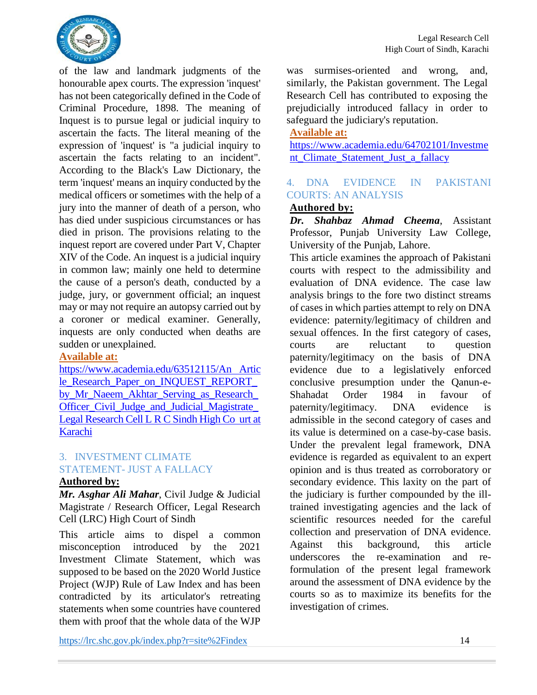

of the law and landmark judgments of the honourable apex courts. The expression 'inquest' has not been categorically defined in the Code of Criminal Procedure, 1898. The meaning of Inquest is to pursue legal or judicial inquiry to ascertain the facts. The literal meaning of the expression of 'inquest' is "a judicial inquiry to ascertain the facts relating to an incident". According to the Black's Law Dictionary, the term 'inquest' means an inquiry conducted by the medical officers or sometimes with the help of a jury into the manner of death of a person, who has died under suspicious circumstances or has died in prison. The provisions relating to the inquest report are covered under Part V, Chapter XIV of the Code. An inquest is a judicial inquiry in common law; mainly one held to determine the cause of a person's death, conducted by a judge, jury, or government official; an inquest may or may not require an autopsy carried out by a coroner or medical examiner. Generally, inquests are only conducted when deaths are sudden or unexplained.

#### **Available at:**

<https://www.academia.edu/63512115/An> Artic le\_Research\_Paper\_on\_INQUEST\_REPORT by\_Mr\_Naeem\_Akhtar\_Serving\_as\_Research Officer Civil Judge and Judicial Magistrate Legal Research Cell L R C Sindh High Co urt at Karachi

### 3. INVESTMENT CLIMATE STATEMENT- JUST A FALLACY

#### **Authored by:**

*Mr. Asghar Ali Mahar*, Civil Judge & Judicial Magistrate / Research Officer, Legal Research Cell (LRC) High Court of Sindh

This article aims to dispel a common misconception introduced by the 2021 Investment Climate Statement, which was supposed to be based on the 2020 World Justice Project (WJP) Rule of Law Index and has been contradicted by its articulator's retreating statements when some countries have countered them with proof that the whole data of the WJP

was surmises-oriented and wrong, and, similarly, the Pakistan government. The Legal Research Cell has contributed to exposing the prejudicially introduced fallacy in order to safeguard the judiciary's reputation.

### **Available at:**

<https://www.academia.edu/64702101/Investme> nt\_Climate\_Statement\_Just\_a\_fallacy

### 4. DNA EVIDENCE IN PAKISTANI COURTS: AN ANALYSIS

#### **Authored by:**

*Dr. Shahbaz Ahmad Cheema*, Assistant Professor, Punjab University Law College, University of the Punjab, Lahore.

This article examines the approach of Pakistani courts with respect to the admissibility and evaluation of DNA evidence. The case law analysis brings to the fore two distinct streams of cases in which parties attempt to rely on DNA evidence: paternity/legitimacy of children and sexual offences. In the first category of cases, courts are reluctant to question paternity/legitimacy on the basis of DNA evidence due to a legislatively enforced conclusive presumption under the Qanun-e-Shahadat Order 1984 in favour of paternity/legitimacy. DNA evidence is admissible in the second category of cases and its value is determined on a case-by-case basis. Under the prevalent legal framework, DNA evidence is regarded as equivalent to an expert opinion and is thus treated as corroboratory or secondary evidence. This laxity on the part of the judiciary is further compounded by the illtrained investigating agencies and the lack of scientific resources needed for the careful collection and preservation of DNA evidence. Against this background, this article underscores the re-examination and reformulation of the present legal framework around the assessment of DNA evidence by the courts so as to maximize its benefits for the investigation of crimes.